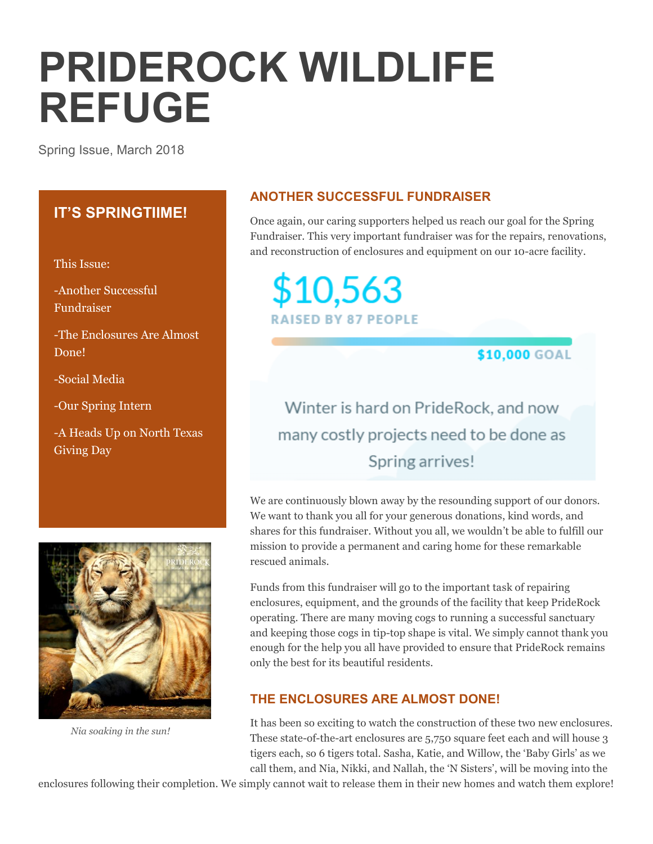# **PRIDEROCK WILDLIFE REFUGE**

Spring Issue, March 2018

# **IT'S SPRINGTIIME!**

This Issue:

-Another Successful Fundraiser

-The Enclosures Are Almost Done!

-Social Media

-Our Spring Intern

-A Heads Up on North Texas Giving Day



 *Nia soaking in the sun!*

## **ANOTHER SUCCESSFUL FUNDRAISER**

Once again, our caring supporters helped us reach our goal for the Spring Fundraiser. This very important fundraiser was for the repairs, renovations, and reconstruction of enclosures and equipment on our 10-acre facility.

\$10,563 **RAISED BY 87 PEOPLE** 

\$10,000 GOAL

Winter is hard on PrideRock, and now many costly projects need to be done as Spring arrives!

We are continuously blown away by the resounding support of our donors. We want to thank you all for your generous donations, kind words, and shares for this fundraiser. Without you all, we wouldn't be able to fulfill our mission to provide a permanent and caring home for these remarkable rescued animals.

Funds from this fundraiser will go to the important task of repairing enclosures, equipment, and the grounds of the facility that keep PrideRock operating. There are many moving cogs to running a successful sanctuary and keeping those cogs in tip-top shape is vital. We simply cannot thank you enough for the help you all have provided to ensure that PrideRock remains only the best for its beautiful residents.

# **THE ENCLOSURES ARE ALMOST DONE!**

It has been so exciting to watch the construction of these two new enclosures. These state-of-the-art enclosures are 5,750 square feet each and will house 3 tigers each, so 6 tigers total. Sasha, Katie, and Willow, the 'Baby Girls' as we call them, and Nia, Nikki, and Nallah, the 'N Sisters', will be moving into the

enclosures following their completion. We simply cannot wait to release them in their new homes and watch them explore!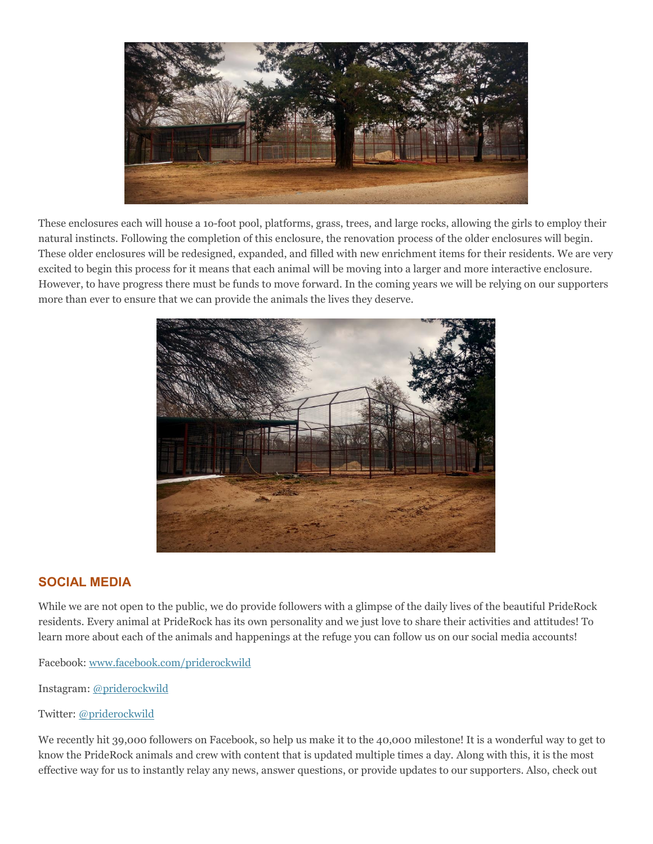

These enclosures each will house a 1o-foot pool, platforms, grass, trees, and large rocks, allowing the girls to employ their natural instincts. Following the completion of this enclosure, the renovation process of the older enclosures will begin. These older enclosures will be redesigned, expanded, and filled with new enrichment items for their residents. We are very excited to begin this process for it means that each animal will be moving into a larger and more interactive enclosure. However, to have progress there must be funds to move forward. In the coming years we will be relying on our supporters more than ever to ensure that we can provide the animals the lives they deserve.



#### **SOCIAL MEDIA**

While we are not open to the public, we do provide followers with a glimpse of the daily lives of the beautiful PrideRock residents. Every animal at PrideRock has its own personality and we just love to share their activities and attitudes! To learn more about each of the animals and happenings at the refuge you can follow us on our social media accounts!

Facebook[: www.facebook.com/priderockwild](https://www.facebook.com/PrideRockWild/)

Instagram: [@priderockwild](https://www.instagram.com/priderockwild/)

#### Twitter: [@priderockwild](https://twitter.com/PrideRockWild)

We recently hit 39,000 followers on Facebook, so help us make it to the 40,000 milestone! It is a wonderful way to get to know the PrideRock animals and crew with content that is updated multiple times a day. Along with this, it is the most effective way for us to instantly relay any news, answer questions, or provide updates to our supporters. Also, check out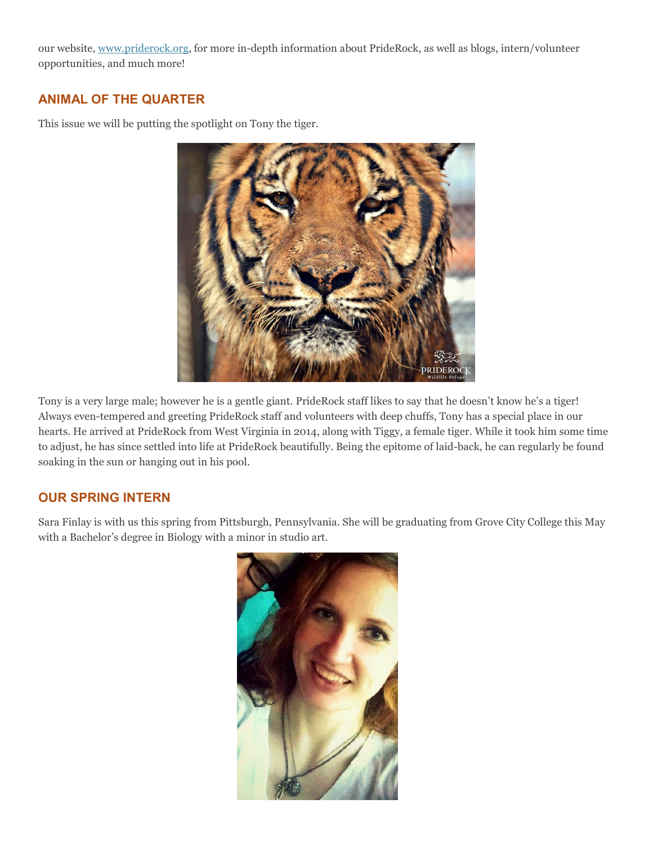our website, [www.priderock.org,](www.priderock.org) for more in-depth information about PrideRock, as well as blogs, intern/volunteer opportunities, and much more!

## **ANIMAL OF THE QUARTER**

This issue we will be putting the spotlight on Tony the tiger.



Tony is a very large male; however he is a gentle giant. PrideRock staff likes to say that he doesn't know he's a tiger! Always even-tempered and greeting PrideRock staff and volunteers with deep chuffs, Tony has a special place in our hearts. He arrived at PrideRock from West Virginia in 2014, along with Tiggy, a female tiger. While it took him some time to adjust, he has since settled into life at PrideRock beautifully. Being the epitome of laid-back, he can regularly be found soaking in the sun or hanging out in his pool.

#### **OUR SPRING INTERN**

Sara Finlay is with us this spring from Pittsburgh, Pennsylvania. She will be graduating from Grove City College this May with a Bachelor's degree in Biology with a minor in studio art.